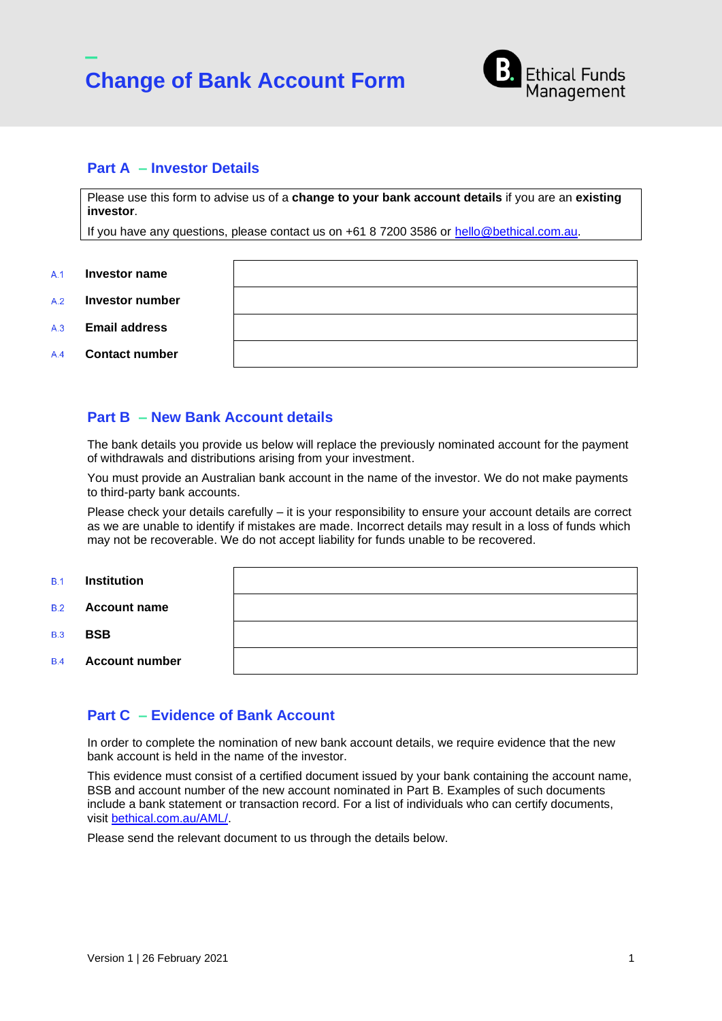



## **Part A – Investor Details**

Please use this form to advise us of a **change to your bank account details** if you are an **existing investor**.

If you have any questions, please contact us on +61 8 7200 3586 or [hello@bethical.com.au.](mailto:hello@bethical.com.au)

- **Investor name**  $A<sub>1</sub>$
- **Investor number**  $A.2$
- **Email address**  $A.3$
- **Contact number**  $A.4$

### <span id="page-0-0"></span>**Part B – New Bank Account details**

The bank details you provide us below will replace the previously nominated account for the payment of withdrawals and distributions arising from your investment.

You must provide an Australian bank account in the name of the investor. We do not make payments to third-party bank accounts.

Please check your details carefully – it is your responsibility to ensure your account details are correct as we are unable to identify if mistakes are made. Incorrect details may result in a loss of funds which may not be recoverable. We do not accept liability for funds unable to be recovered.

- **Institution**  $B<sub>1</sub>$
- **Account name**  $R<sub>2</sub>$

**BSB**  $R<sub>3</sub>$ 

**Account number**  $B.4$ 

## **Part C – Evidence of Bank Account**

In order to complete the nomination of new bank account details, we require evidence that the new bank account is held in the name of the investor.

This evidence must consist of a certified document issued by your bank containing the account name, BSB and account number of the new account nominated in [Part B.](#page-0-0) Examples of such documents include a bank statement or transaction record. For a list of individuals who can certify documents, visit [bethical.com.au/AML/.](bethical.com.au/AML/)

Please send the relevant document to us through the details below.